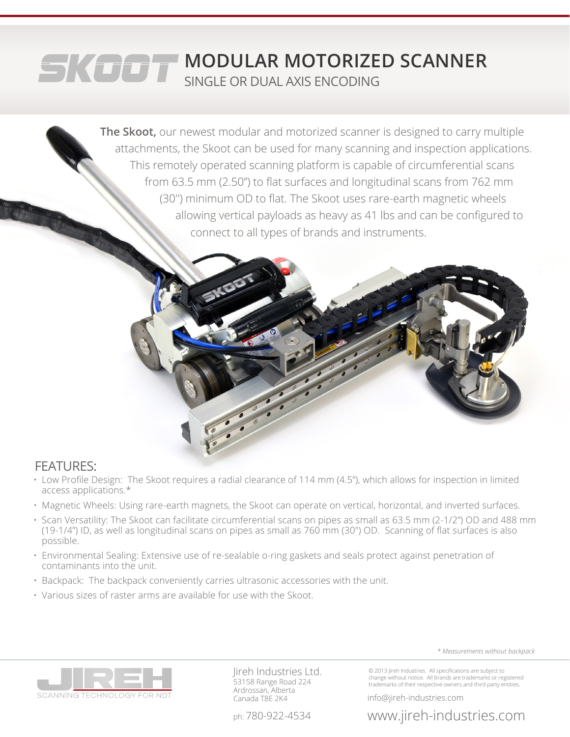# **MODULAR MOTORIZED SCANNER** SINGLE OR DUAL AXIS ENCODING

**The Skoot,** our newest modular and motorized scanner is designed to carry multiple attachments, the Skoot can be used for many scanning and inspection applications. This remotely operated scanning platform is capable of circumferential scans from 63.5 mm (2.50") to flat surfaces and longitudinal scans from 762 mm (30′′) minimum OD to flat. The Skoot uses rare-earth magnetic wheels allowing vertical payloads as heavy as 41 lbs and can be configured to connect to all types of brands and instruments.



#### FEATURES:

- Low Profile Design: The Skoot requires a radial clearance of 114 mm (4.5"), which allows for inspection in limited access applications.\*
- Magnetic Wheels: Using rare-earth magnets, the Skoot can operate on vertical, horizontal, and inverted surfaces.
- Scan Versatility: The Skoot can facilitate circumferential scans on pipes as small as 63.5 mm (2-1/2") OD and 488 mm (19-1/4") ID, as well as longitudinal scans on pipes as small as 760 mm (30″) OD. Scanning of flat surfaces is also possible.
- Environmental Sealing: Extensive use of re-sealable o-ring gaskets and seals protect against penetration of contaminants into the unit.
- Backpack: The backpack conveniently carries ultrasonic accessories with the unit.
- Various sizes of raster arms are available for use with the Skoot.



Jireh Industries Ltd. 53158 Range Road 224 Ardrossan, Alberta Canada T8E 2K4

*\* Measurements without backpack*

© 2013 Jireh Industries. All specifications are subject to change without notice. All brands are trademarks or registered trademarks of their respective owners and third party entities.

info@jireh-industries.com

### ph: 780-922-4534 www.jireh-industries.com